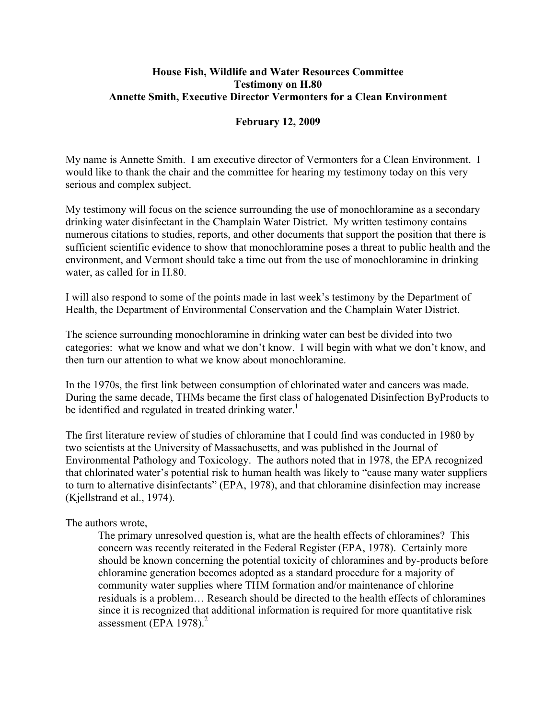## **House Fish, Wildlife and Water Resources Committee Testimony on H.80 Annette Smith, Executive Director Vermonters for a Clean Environment**

## **February 12, 2009**

My name is Annette Smith. I am executive director of Vermonters for a Clean Environment. I would like to thank the chair and the committee for hearing my testimony today on this very serious and complex subject.

My testimony will focus on the science surrounding the use of monochloramine as a secondary drinking water disinfectant in the Champlain Water District. My written testimony contains numerous citations to studies, reports, and other documents that support the position that there is sufficient scientific evidence to show that monochloramine poses a threat to public health and the environment, and Vermont should take a time out from the use of monochloramine in drinking water, as called for in H.80.

I will also respond to some of the points made in last week's testimony by the Department of Health, the Department of Environmental Conservation and the Champlain Water District.

The science surrounding monochloramine in drinking water can best be divided into two categories: what we know and what we don't know. I will begin with what we don't know, and then turn our attention to what we know about monochloramine.

In the 1970s, the first link between consumption of chlorinated water and cancers was made. During the same decade, THMs became the first class of halogenated Disinfection ByProducts to be identified and regulated in treated drinking water.<sup>1</sup>

The first literature review of studies of chloramine that I could find was conducted in 1980 by two scientists at the University of Massachusetts, and was published in the Journal of Environmental Pathology and Toxicology. The authors noted that in 1978, the EPA recognized that chlorinated water's potential risk to human health was likely to "cause many water suppliers to turn to alternative disinfectants" (EPA, 1978), and that chloramine disinfection may increase (Kjellstrand et al., 1974).

## The authors wrote,

The primary unresolved question is, what are the health effects of chloramines? This concern was recently reiterated in the Federal Register (EPA, 1978). Certainly more should be known concerning the potential toxicity of chloramines and by-products before chloramine generation becomes adopted as a standard procedure for a majority of community water supplies where THM formation and/or maintenance of chlorine residuals is a problem… Research should be directed to the health effects of chloramines since it is recognized that additional information is required for more quantitative risk assessment (EPA 1978). $^{2}$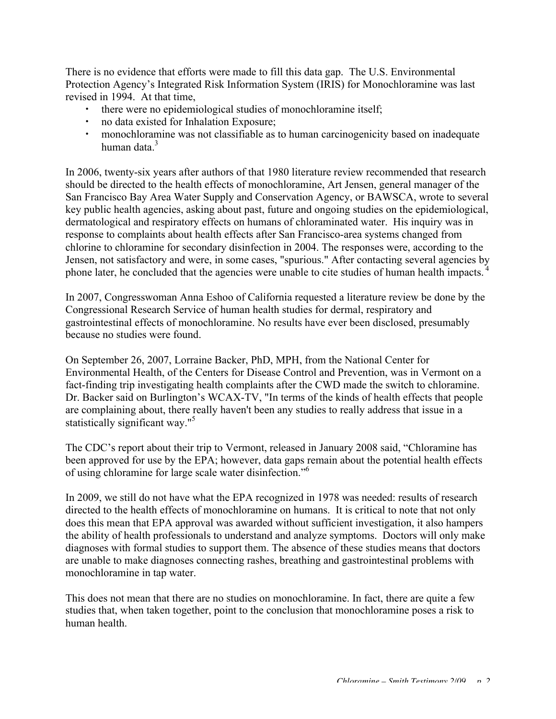There is no evidence that efforts were made to fill this data gap. The U.S. Environmental Protection Agency's Integrated Risk Information System (IRIS) for Monochloramine was last revised in 1994. At that time,

- there were no epidemiological studies of monochloramine itself;
- no data existed for Inhalation Exposure;
- monochloramine was not classifiable as to human carcinogenicity based on inadequate human data<sup>3</sup>

In 2006, twenty-six years after authors of that 1980 literature review recommended that research should be directed to the health effects of monochloramine, Art Jensen, general manager of the San Francisco Bay Area Water Supply and Conservation Agency, or BAWSCA, wrote to several key public health agencies, asking about past, future and ongoing studies on the epidemiological, dermatological and respiratory effects on humans of chloraminated water. His inquiry was in response to complaints about health effects after San Francisco-area systems changed from chlorine to chloramine for secondary disinfection in 2004. The responses were, according to the Jensen, not satisfactory and were, in some cases, "spurious." After contacting several agencies by phone later, he concluded that the agencies were unable to cite studies of human health impacts.<sup>4</sup>

In 2007, Congresswoman Anna Eshoo of California requested a literature review be done by the Congressional Research Service of human health studies for dermal, respiratory and gastrointestinal effects of monochloramine. No results have ever been disclosed, presumably because no studies were found.

On September 26, 2007, Lorraine Backer, PhD, MPH, from the National Center for Environmental Health, of the Centers for Disease Control and Prevention, was in Vermont on a fact-finding trip investigating health complaints after the CWD made the switch to chloramine. Dr. Backer said on Burlington's WCAX-TV, "In terms of the kinds of health effects that people are complaining about, there really haven't been any studies to really address that issue in a statistically significant way."<sup>5</sup>

The CDC's report about their trip to Vermont, released in January 2008 said, "Chloramine has been approved for use by the EPA; however, data gaps remain about the potential health effects of using chloramine for large scale water disinfection."6

In 2009, we still do not have what the EPA recognized in 1978 was needed: results of research directed to the health effects of monochloramine on humans. It is critical to note that not only does this mean that EPA approval was awarded without sufficient investigation, it also hampers the ability of health professionals to understand and analyze symptoms. Doctors will only make diagnoses with formal studies to support them. The absence of these studies means that doctors are unable to make diagnoses connecting rashes, breathing and gastrointestinal problems with monochloramine in tap water.

This does not mean that there are no studies on monochloramine. In fact, there are quite a few studies that, when taken together, point to the conclusion that monochloramine poses a risk to human health.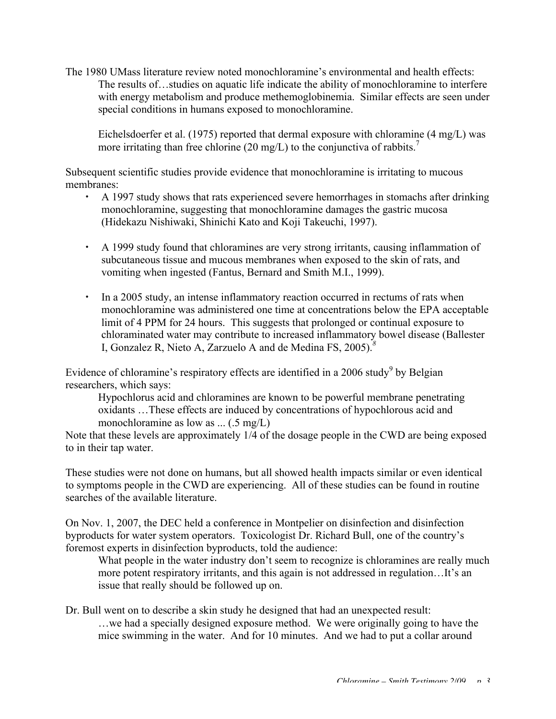The 1980 UMass literature review noted monochloramine's environmental and health effects: The results of…studies on aquatic life indicate the ability of monochloramine to interfere with energy metabolism and produce methemoglobinemia. Similar effects are seen under special conditions in humans exposed to monochloramine.

Eichelsdoerfer et al. (1975) reported that dermal exposure with chloramine (4 mg/L) was more irritating than free chlorine (20 mg/L) to the conjunctiva of rabbits.<sup>7</sup>

Subsequent scientific studies provide evidence that monochloramine is irritating to mucous membranes:

- A 1997 study shows that rats experienced severe hemorrhages in stomachs after drinking monochloramine, suggesting that monochloramine damages the gastric mucosa (Hidekazu Nishiwaki, Shinichi Kato and Koji Takeuchi, 1997).
- A 1999 study found that chloramines are very strong irritants, causing inflammation of subcutaneous tissue and mucous membranes when exposed to the skin of rats, and vomiting when ingested (Fantus, Bernard and Smith M.I., 1999).
- In a 2005 study, an intense inflammatory reaction occurred in rectums of rats when monochloramine was administered one time at concentrations below the EPA acceptable limit of 4 PPM for 24 hours. This suggests that prolonged or continual exposure to chloraminated water may contribute to increased inflammatory bowel disease (Ballester I, Gonzalez R, Nieto A, Zarzuelo A and de Medina FS, 2005).*<sup>8</sup>*

Evidence of chloramine's respiratory effects are identified in a 2006 study<sup>9</sup> by Belgian researchers, which says:

Hypochlorus acid and chloramines are known to be powerful membrane penetrating oxidants …These effects are induced by concentrations of hypochlorous acid and monochloramine as low as ... (.5 mg/L)

Note that these levels are approximately 1/4 of the dosage people in the CWD are being exposed to in their tap water.

These studies were not done on humans, but all showed health impacts similar or even identical to symptoms people in the CWD are experiencing. All of these studies can be found in routine searches of the available literature.

On Nov. 1, 2007, the DEC held a conference in Montpelier on disinfection and disinfection byproducts for water system operators. Toxicologist Dr. Richard Bull, one of the country's foremost experts in disinfection byproducts, told the audience:

What people in the water industry don't seem to recognize is chloramines are really much more potent respiratory irritants, and this again is not addressed in regulation…It's an issue that really should be followed up on.

Dr. Bull went on to describe a skin study he designed that had an unexpected result: …we had a specially designed exposure method. We were originally going to have the mice swimming in the water. And for 10 minutes. And we had to put a collar around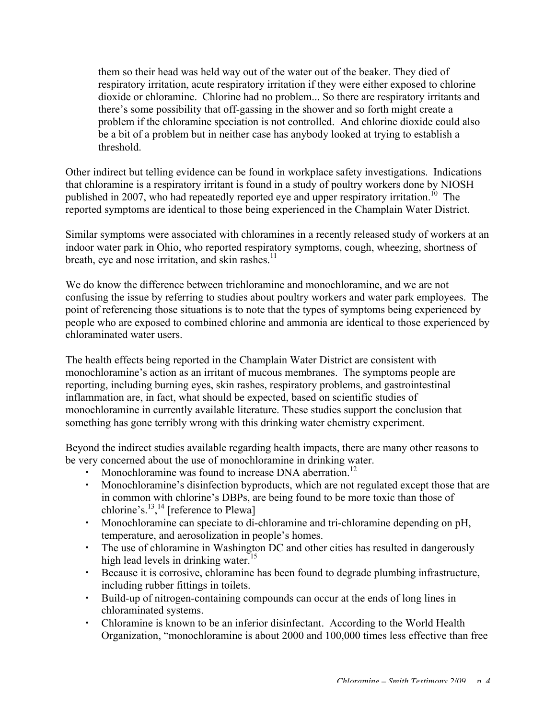them so their head was held way out of the water out of the beaker. They died of respiratory irritation, acute respiratory irritation if they were either exposed to chlorine dioxide or chloramine. Chlorine had no problem... So there are respiratory irritants and there's some possibility that off-gassing in the shower and so forth might create a problem if the chloramine speciation is not controlled. And chlorine dioxide could also be a bit of a problem but in neither case has anybody looked at trying to establish a threshold.

Other indirect but telling evidence can be found in workplace safety investigations. Indications that chloramine is a respiratory irritant is found in a study of poultry workers done by NIOSH published in 2007, who had repeatedly reported eye and upper respiratory irritation.<sup>10</sup> The reported symptoms are identical to those being experienced in the Champlain Water District.

Similar symptoms were associated with chloramines in a recently released study of workers at an indoor water park in Ohio, who reported respiratory symptoms, cough, wheezing, shortness of breath, eye and nose irritation, and skin rashes. $<sup>11</sup>$ </sup>

We do know the difference between trichloramine and monochloramine, and we are not confusing the issue by referring to studies about poultry workers and water park employees. The point of referencing those situations is to note that the types of symptoms being experienced by people who are exposed to combined chlorine and ammonia are identical to those experienced by chloraminated water users.

The health effects being reported in the Champlain Water District are consistent with monochloramine's action as an irritant of mucous membranes. The symptoms people are reporting, including burning eyes, skin rashes, respiratory problems, and gastrointestinal inflammation are, in fact, what should be expected, based on scientific studies of monochloramine in currently available literature. These studies support the conclusion that something has gone terribly wrong with this drinking water chemistry experiment.

Beyond the indirect studies available regarding health impacts, there are many other reasons to be very concerned about the use of monochloramine in drinking water.

- Monochloramine was found to increase DNA aberration.<sup>12</sup>
- Monochloramine's disinfection byproducts, which are not regulated except those that are in common with chlorine's DBPs, are being found to be more toxic than those of chlorine's. $^{13}$ ,<sup>14</sup> [reference to Plewa]
- Monochloramine can speciate to di-chloramine and tri-chloramine depending on pH, temperature, and aerosolization in people's homes.
- The use of chloramine in Washington DC and other cities has resulted in dangerously high lead levels in drinking water.<sup>15</sup>
- Because it is corrosive, chloramine has been found to degrade plumbing infrastructure, including rubber fittings in toilets.
- Build-up of nitrogen-containing compounds can occur at the ends of long lines in chloraminated systems.
- Chloramine is known to be an inferior disinfectant. According to the World Health Organization, "monochloramine is about 2000 and 100,000 times less effective than free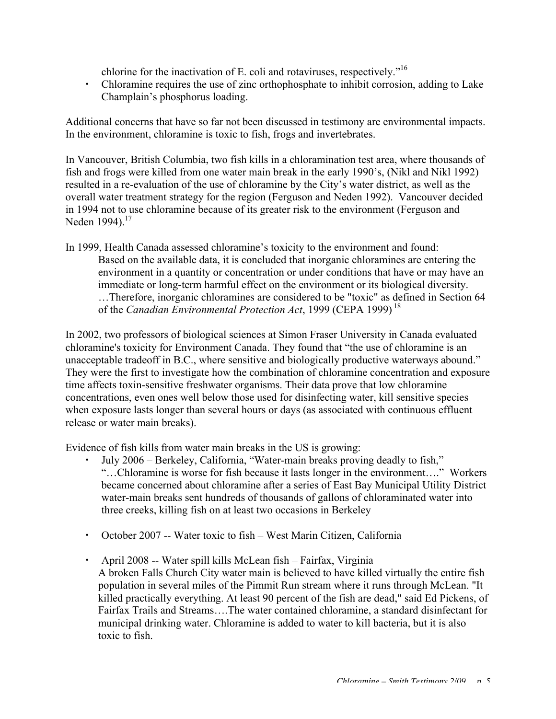chlorine for the inactivation of E. coli and rotaviruses, respectively."<sup>16</sup>

 Chloramine requires the use of zinc orthophosphate to inhibit corrosion, adding to Lake Champlain's phosphorus loading.

Additional concerns that have so far not been discussed in testimony are environmental impacts. In the environment, chloramine is toxic to fish, frogs and invertebrates.

In Vancouver, British Columbia, two fish kills in a chloramination test area, where thousands of fish and frogs were killed from one water main break in the early 1990's, (Nikl and Nikl 1992) resulted in a re-evaluation of the use of chloramine by the City's water district, as well as the overall water treatment strategy for the region (Ferguson and Neden 1992). Vancouver decided in 1994 not to use chloramine because of its greater risk to the environment (Ferguson and Neden 1994). $^{17}$ 

In 1999, Health Canada assessed chloramine's toxicity to the environment and found: Based on the available data, it is concluded that inorganic chloramines are entering the environment in a quantity or concentration or under conditions that have or may have an immediate or long-term harmful effect on the environment or its biological diversity. …Therefore, inorganic chloramines are considered to be "toxic" as defined in Section 64 of the *Canadian Environmental Protection Act*, 1999 (CEPA 1999) <sup>18</sup>

In 2002, two professors of biological sciences at Simon Fraser University in Canada evaluated chloramine's toxicity for Environment Canada. They found that "the use of chloramine is an unacceptable tradeoff in B.C., where sensitive and biologically productive waterways abound." They were the first to investigate how the combination of chloramine concentration and exposure time affects toxin-sensitive freshwater organisms. Their data prove that low chloramine concentrations, even ones well below those used for disinfecting water, kill sensitive species when exposure lasts longer than several hours or days (as associated with continuous effluent release or water main breaks).

Evidence of fish kills from water main breaks in the US is growing:

- July 2006 Berkeley, California, "Water-main breaks proving deadly to fish," "…Chloramine is worse for fish because it lasts longer in the environment…." Workers became concerned about chloramine after a series of East Bay Municipal Utility District water-main breaks sent hundreds of thousands of gallons of chloraminated water into three creeks, killing fish on at least two occasions in Berkeley
- October 2007 -- Water toxic to fish West Marin Citizen, California
- April 2008 -- Water spill kills McLean fish Fairfax, Virginia A broken Falls Church City water main is believed to have killed virtually the entire fish population in several miles of the Pimmit Run stream where it runs through McLean. "It killed practically everything. At least 90 percent of the fish are dead," said Ed Pickens, of Fairfax Trails and Streams….The water contained chloramine, a standard disinfectant for municipal drinking water. Chloramine is added to water to kill bacteria, but it is also toxic to fish.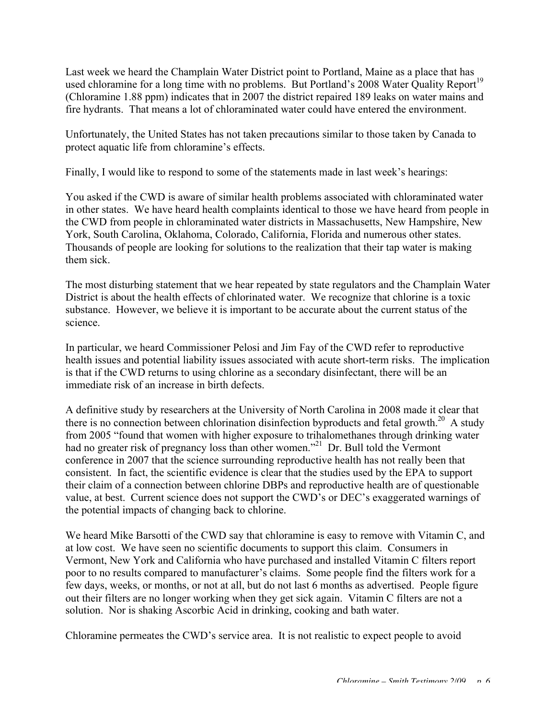Last week we heard the Champlain Water District point to Portland, Maine as a place that has used chloramine for a long time with no problems. But Portland's 2008 Water Quality Report<sup>19</sup> (Chloramine 1.88 ppm) indicates that in 2007 the district repaired 189 leaks on water mains and fire hydrants. That means a lot of chloraminated water could have entered the environment.

Unfortunately, the United States has not taken precautions similar to those taken by Canada to protect aquatic life from chloramine's effects.

Finally, I would like to respond to some of the statements made in last week's hearings:

You asked if the CWD is aware of similar health problems associated with chloraminated water in other states. We have heard health complaints identical to those we have heard from people in the CWD from people in chloraminated water districts in Massachusetts, New Hampshire, New York, South Carolina, Oklahoma, Colorado, California, Florida and numerous other states. Thousands of people are looking for solutions to the realization that their tap water is making them sick.

The most disturbing statement that we hear repeated by state regulators and the Champlain Water District is about the health effects of chlorinated water. We recognize that chlorine is a toxic substance. However, we believe it is important to be accurate about the current status of the science.

In particular, we heard Commissioner Pelosi and Jim Fay of the CWD refer to reproductive health issues and potential liability issues associated with acute short-term risks. The implication is that if the CWD returns to using chlorine as a secondary disinfectant, there will be an immediate risk of an increase in birth defects.

A definitive study by researchers at the University of North Carolina in 2008 made it clear that there is no connection between chlorination disinfection byproducts and fetal growth.<sup>20</sup> A study from 2005 "found that women with higher exposure to trihalomethanes through drinking water had no greater risk of pregnancy loss than other women."<sup>21</sup> Dr. Bull told the Vermont conference in 2007 that the science surrounding reproductive health has not really been that consistent. In fact, the scientific evidence is clear that the studies used by the EPA to support their claim of a connection between chlorine DBPs and reproductive health are of questionable value, at best. Current science does not support the CWD's or DEC's exaggerated warnings of the potential impacts of changing back to chlorine.

We heard Mike Barsotti of the CWD say that chloramine is easy to remove with Vitamin C, and at low cost. We have seen no scientific documents to support this claim. Consumers in Vermont, New York and California who have purchased and installed Vitamin C filters report poor to no results compared to manufacturer's claims. Some people find the filters work for a few days, weeks, or months, or not at all, but do not last 6 months as advertised. People figure out their filters are no longer working when they get sick again. Vitamin C filters are not a solution. Nor is shaking Ascorbic Acid in drinking, cooking and bath water.

Chloramine permeates the CWD's service area. It is not realistic to expect people to avoid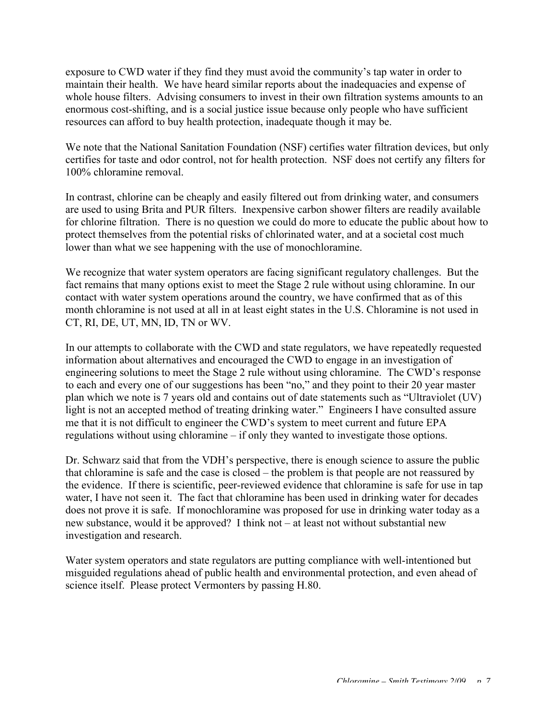exposure to CWD water if they find they must avoid the community's tap water in order to maintain their health. We have heard similar reports about the inadequacies and expense of whole house filters. Advising consumers to invest in their own filtration systems amounts to an enormous cost-shifting, and is a social justice issue because only people who have sufficient resources can afford to buy health protection, inadequate though it may be.

We note that the National Sanitation Foundation (NSF) certifies water filtration devices, but only certifies for taste and odor control, not for health protection. NSF does not certify any filters for 100% chloramine removal.

In contrast, chlorine can be cheaply and easily filtered out from drinking water, and consumers are used to using Brita and PUR filters. Inexpensive carbon shower filters are readily available for chlorine filtration. There is no question we could do more to educate the public about how to protect themselves from the potential risks of chlorinated water, and at a societal cost much lower than what we see happening with the use of monochloramine.

We recognize that water system operators are facing significant regulatory challenges. But the fact remains that many options exist to meet the Stage 2 rule without using chloramine. In our contact with water system operations around the country, we have confirmed that as of this month chloramine is not used at all in at least eight states in the U.S. Chloramine is not used in CT, RI, DE, UT, MN, ID, TN or WV.

In our attempts to collaborate with the CWD and state regulators, we have repeatedly requested information about alternatives and encouraged the CWD to engage in an investigation of engineering solutions to meet the Stage 2 rule without using chloramine. The CWD's response to each and every one of our suggestions has been "no," and they point to their 20 year master plan which we note is 7 years old and contains out of date statements such as "Ultraviolet (UV) light is not an accepted method of treating drinking water." Engineers I have consulted assure me that it is not difficult to engineer the CWD's system to meet current and future EPA regulations without using chloramine – if only they wanted to investigate those options.

Dr. Schwarz said that from the VDH's perspective, there is enough science to assure the public that chloramine is safe and the case is closed – the problem is that people are not reassured by the evidence. If there is scientific, peer-reviewed evidence that chloramine is safe for use in tap water, I have not seen it. The fact that chloramine has been used in drinking water for decades does not prove it is safe. If monochloramine was proposed for use in drinking water today as a new substance, would it be approved? I think not – at least not without substantial new investigation and research.

Water system operators and state regulators are putting compliance with well-intentioned but misguided regulations ahead of public health and environmental protection, and even ahead of science itself. Please protect Vermonters by passing H.80.